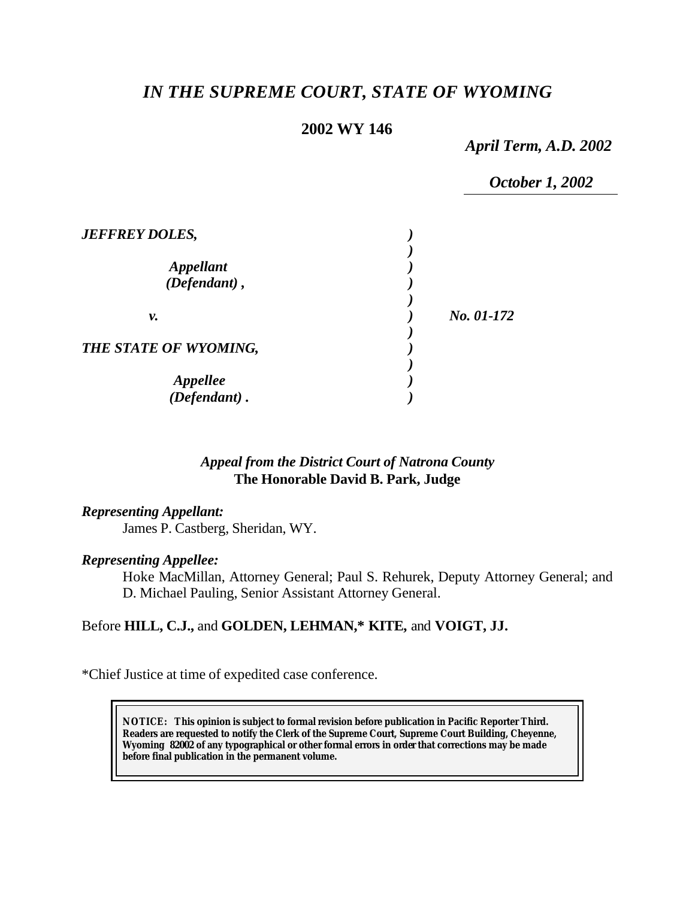# *IN THE SUPREME COURT, STATE OF WYOMING*

# **2002 WY 146**

*April Term, A.D. 2002*

|                                  | October 1, 2002 |
|----------------------------------|-----------------|
| <b>JEFFREY DOLES,</b>            |                 |
| <b>Appellant</b><br>(Defendant), |                 |
| ν.                               | No. 01-172      |
| THE STATE OF WYOMING,            |                 |
| Appellee<br>(Defendant).         |                 |

# *Appeal from the District Court of Natrona County* **The Honorable David B. Park, Judge**

## *Representing Appellant:*

James P. Castberg, Sheridan, WY.

#### *Representing Appellee:*

Hoke MacMillan, Attorney General; Paul S. Rehurek, Deputy Attorney General; and D. Michael Pauling, Senior Assistant Attorney General.

## Before **HILL, C.J.,** and **GOLDEN, LEHMAN,\* KITE,** and **VOIGT, JJ.**

\*Chief Justice at time of expedited case conference.

**NOTICE:** *This opinion is subject to formal revision before publication in Pacific Reporter Third. Readers are requested to notify the Clerk of the Supreme Court, Supreme Court Building, Cheyenne, Wyoming 82002 of any typographical or other formal errors in order that corrections may be made before final publication in the permanent volume.*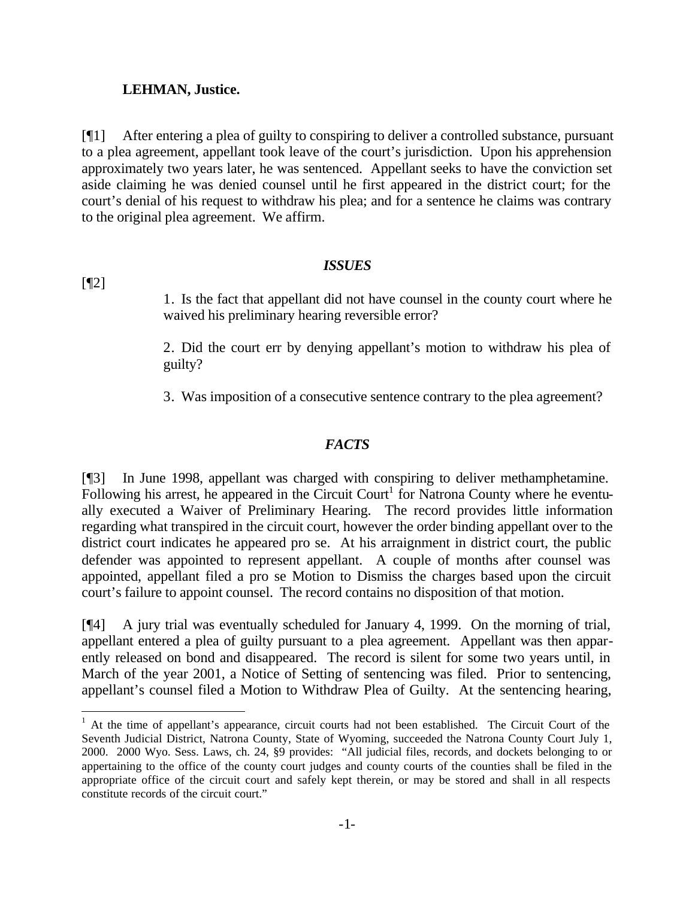#### **LEHMAN, Justice.**

[¶1] After entering a plea of guilty to conspiring to deliver a controlled substance, pursuant to a plea agreement, appellant took leave of the court's jurisdiction. Upon his apprehension approximately two years later, he was sentenced. Appellant seeks to have the conviction set aside claiming he was denied counsel until he first appeared in the district court; for the court's denial of his request to withdraw his plea; and for a sentence he claims was contrary to the original plea agreement. We affirm.

#### *ISSUES*

[¶2]

l

1. Is the fact that appellant did not have counsel in the county court where he waived his preliminary hearing reversible error?

2. Did the court err by denying appellant's motion to withdraw his plea of guilty?

3. Was imposition of a consecutive sentence contrary to the plea agreement?

## *FACTS*

[¶3] In June 1998, appellant was charged with conspiring to deliver methamphetamine. Following his arrest, he appeared in the Circuit Court<sup>1</sup> for Natrona County where he eventually executed a Waiver of Preliminary Hearing. The record provides little information regarding what transpired in the circuit court, however the order binding appellant over to the district court indicates he appeared pro se. At his arraignment in district court, the public defender was appointed to represent appellant. A couple of months after counsel was appointed, appellant filed a pro se Motion to Dismiss the charges based upon the circuit court's failure to appoint counsel. The record contains no disposition of that motion.

[¶4] A jury trial was eventually scheduled for January 4, 1999. On the morning of trial, appellant entered a plea of guilty pursuant to a plea agreement. Appellant was then apparently released on bond and disappeared. The record is silent for some two years until, in March of the year 2001, a Notice of Setting of sentencing was filed. Prior to sentencing, appellant's counsel filed a Motion to Withdraw Plea of Guilty. At the sentencing hearing,

<sup>&</sup>lt;sup>1</sup> At the time of appellant's appearance, circuit courts had not been established. The Circuit Court of the Seventh Judicial District, Natrona County, State of Wyoming, succeeded the Natrona County Court July 1, 2000. 2000 Wyo. Sess. Laws, ch. 24, §9 provides: "All judicial files, records, and dockets belonging to or appertaining to the office of the county court judges and county courts of the counties shall be filed in the appropriate office of the circuit court and safely kept therein, or may be stored and shall in all respects constitute records of the circuit court."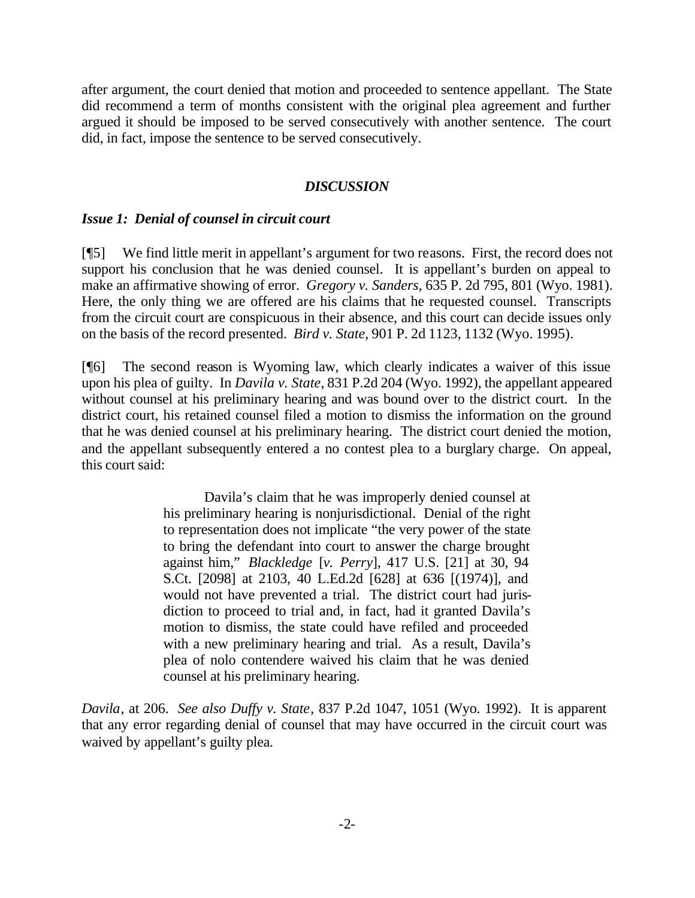after argument, the court denied that motion and proceeded to sentence appellant. The State did recommend a term of months consistent with the original plea agreement and further argued it should be imposed to be served consecutively with another sentence. The court did, in fact, impose the sentence to be served consecutively.

#### *DISCUSSION*

#### *Issue 1: Denial of counsel in circuit court*

[¶5] We find little merit in appellant's argument for two reasons. First, the record does not support his conclusion that he was denied counsel. It is appellant's burden on appeal to make an affirmative showing of error. *Gregory v. Sanders*, 635 P. 2d 795, 801 (Wyo. 1981). Here, the only thing we are offered are his claims that he requested counsel. Transcripts from the circuit court are conspicuous in their absence, and this court can decide issues only on the basis of the record presented. *Bird v. State*, 901 P. 2d 1123, 1132 (Wyo. 1995).

[¶6] The second reason is Wyoming law, which clearly indicates a waiver of this issue upon his plea of guilty. In *Davila v. State*, 831 P.2d 204 (Wyo. 1992), the appellant appeared without counsel at his preliminary hearing and was bound over to the district court. In the district court, his retained counsel filed a motion to dismiss the information on the ground that he was denied counsel at his preliminary hearing. The district court denied the motion, and the appellant subsequently entered a no contest plea to a burglary charge. On appeal, this court said:

> Davila's claim that he was improperly denied counsel at his preliminary hearing is nonjurisdictional. Denial of the right to representation does not implicate "the very power of the state to bring the defendant into court to answer the charge brought against him," *Blackledge* [*v. Perry*], 417 U.S. [21] at 30, 94 S.Ct. [2098] at 2103, 40 L.Ed.2d [628] at 636 [(1974)], and would not have prevented a trial. The district court had jurisdiction to proceed to trial and, in fact, had it granted Davila's motion to dismiss, the state could have refiled and proceeded with a new preliminary hearing and trial. As a result, Davila's plea of nolo contendere waived his claim that he was denied counsel at his preliminary hearing.

*Davila*, at 206. *See also Duffy v. State*, 837 P.2d 1047, 1051 (Wyo. 1992). It is apparent that any error regarding denial of counsel that may have occurred in the circuit court was waived by appellant's guilty plea.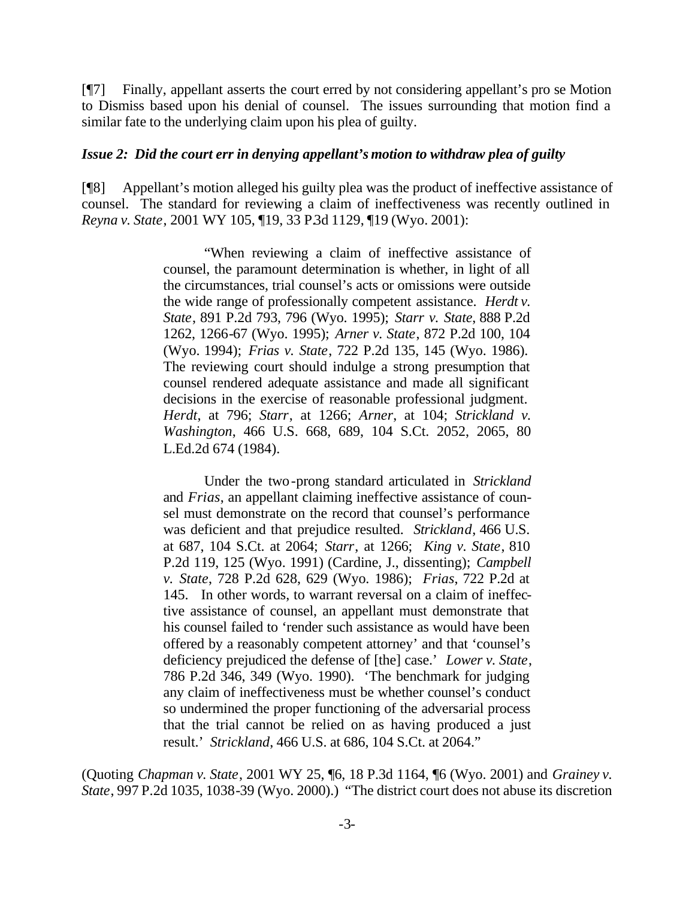[¶7] Finally, appellant asserts the court erred by not considering appellant's pro se Motion to Dismiss based upon his denial of counsel. The issues surrounding that motion find a similar fate to the underlying claim upon his plea of guilty.

#### *Issue 2: Did the court err in denying appellant's motion to withdraw plea of guilty*

[¶8] Appellant's motion alleged his guilty plea was the product of ineffective assistance of counsel. The standard for reviewing a claim of ineffectiveness was recently outlined in *Reyna v. State*, 2001 WY 105, ¶19, 33 P.3d 1129, ¶19 (Wyo. 2001):

> "When reviewing a claim of ineffective assistance of counsel, the paramount determination is whether, in light of all the circumstances, trial counsel's acts or omissions were outside the wide range of professionally competent assistance. *Herdt v. State*, 891 P.2d 793, 796 (Wyo. 1995); *Starr v. State*, 888 P.2d 1262, 1266-67 (Wyo. 1995); *Arner v. State*, 872 P.2d 100, 104 (Wyo. 1994); *Frias v. State*, 722 P.2d 135, 145 (Wyo. 1986). The reviewing court should indulge a strong presumption that counsel rendered adequate assistance and made all significant decisions in the exercise of reasonable professional judgment. *Herdt*, at 796; *Starr*, at 1266; *Arner*, at 104; *Strickland v. Washington*, 466 U.S. 668, 689, 104 S.Ct. 2052, 2065, 80 L.Ed.2d 674 (1984).

> Under the two-prong standard articulated in *Strickland* and *Frias*, an appellant claiming ineffective assistance of counsel must demonstrate on the record that counsel's performance was deficient and that prejudice resulted. *Strickland*, 466 U.S. at 687, 104 S.Ct. at 2064; *Starr*, at 1266; *King v. State*, 810 P.2d 119, 125 (Wyo. 1991) (Cardine, J., dissenting); *Campbell v. State*, 728 P.2d 628, 629 (Wyo. 1986); *Frias*, 722 P.2d at 145. In other words, to warrant reversal on a claim of ineffective assistance of counsel, an appellant must demonstrate that his counsel failed to 'render such assistance as would have been offered by a reasonably competent attorney' and that 'counsel's deficiency prejudiced the defense of [the] case.' *Lower v. State*, 786 P.2d 346, 349 (Wyo. 1990). 'The benchmark for judging any claim of ineffectiveness must be whether counsel's conduct so undermined the proper functioning of the adversarial process that the trial cannot be relied on as having produced a just result.' *Strickland*, 466 U.S. at 686, 104 S.Ct. at 2064."

(Quoting *Chapman v. State*, 2001 WY 25, ¶6, 18 P.3d 1164, ¶6 (Wyo. 2001) and *Grainey v. State*, 997 P.2d 1035, 1038-39 (Wyo. 2000).) "The district court does not abuse its discretion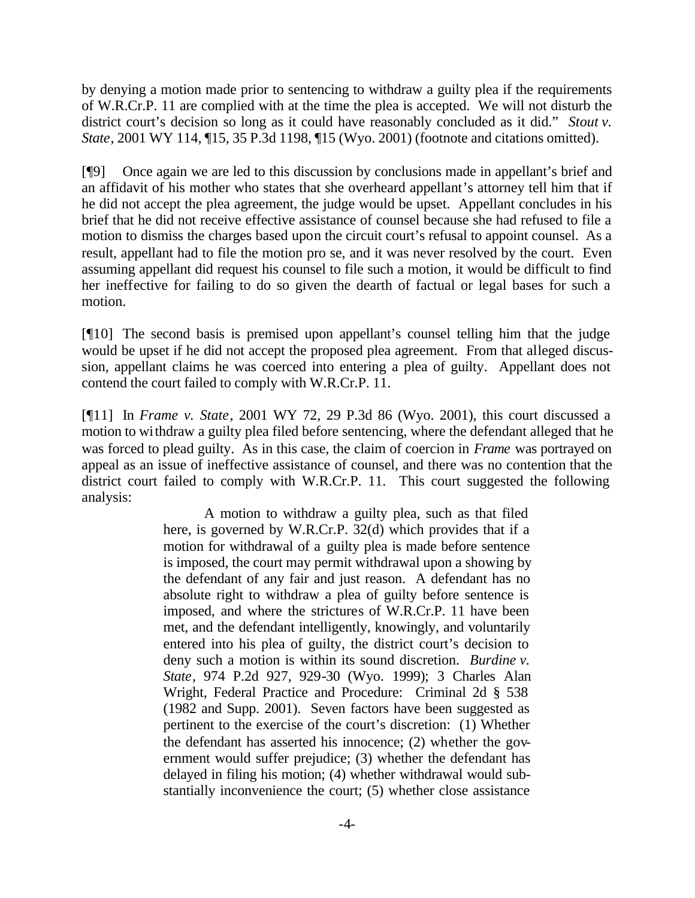by denying a motion made prior to sentencing to withdraw a guilty plea if the requirements of W.R.Cr.P. 11 are complied with at the time the plea is accepted. We will not disturb the district court's decision so long as it could have reasonably concluded as it did." *Stout v. State*, 2001 WY 114, ¶15, 35 P.3d 1198, ¶15 (Wyo. 2001) (footnote and citations omitted).

[¶9] Once again we are led to this discussion by conclusions made in appellant's brief and an affidavit of his mother who states that she overheard appellant's attorney tell him that if he did not accept the plea agreement, the judge would be upset. Appellant concludes in his brief that he did not receive effective assistance of counsel because she had refused to file a motion to dismiss the charges based upon the circuit court's refusal to appoint counsel. As a result, appellant had to file the motion pro se, and it was never resolved by the court. Even assuming appellant did request his counsel to file such a motion, it would be difficult to find her ineffective for failing to do so given the dearth of factual or legal bases for such a motion.

[¶10] The second basis is premised upon appellant's counsel telling him that the judge would be upset if he did not accept the proposed plea agreement. From that alleged discussion, appellant claims he was coerced into entering a plea of guilty. Appellant does not contend the court failed to comply with W.R.Cr.P. 11.

[¶11] In *Frame v. State*, 2001 WY 72, 29 P.3d 86 (Wyo. 2001), this court discussed a motion to withdraw a guilty plea filed before sentencing, where the defendant alleged that he was forced to plead guilty. As in this case, the claim of coercion in *Frame* was portrayed on appeal as an issue of ineffective assistance of counsel, and there was no contention that the district court failed to comply with W.R.Cr.P. 11. This court suggested the following analysis:

> A motion to withdraw a guilty plea, such as that filed here, is governed by W.R.Cr.P. 32(d) which provides that if a motion for withdrawal of a guilty plea is made before sentence is imposed, the court may permit withdrawal upon a showing by the defendant of any fair and just reason. A defendant has no absolute right to withdraw a plea of guilty before sentence is imposed, and where the strictures of W.R.Cr.P. 11 have been met, and the defendant intelligently, knowingly, and voluntarily entered into his plea of guilty, the district court's decision to deny such a motion is within its sound discretion. *Burdine v. State*, 974 P.2d 927, 929-30 (Wyo. 1999); 3 Charles Alan Wright, Federal Practice and Procedure: Criminal 2d § 538 (1982 and Supp. 2001). Seven factors have been suggested as pertinent to the exercise of the court's discretion: (1) Whether the defendant has asserted his innocence; (2) whether the government would suffer prejudice; (3) whether the defendant has delayed in filing his motion; (4) whether withdrawal would substantially inconvenience the court; (5) whether close assistance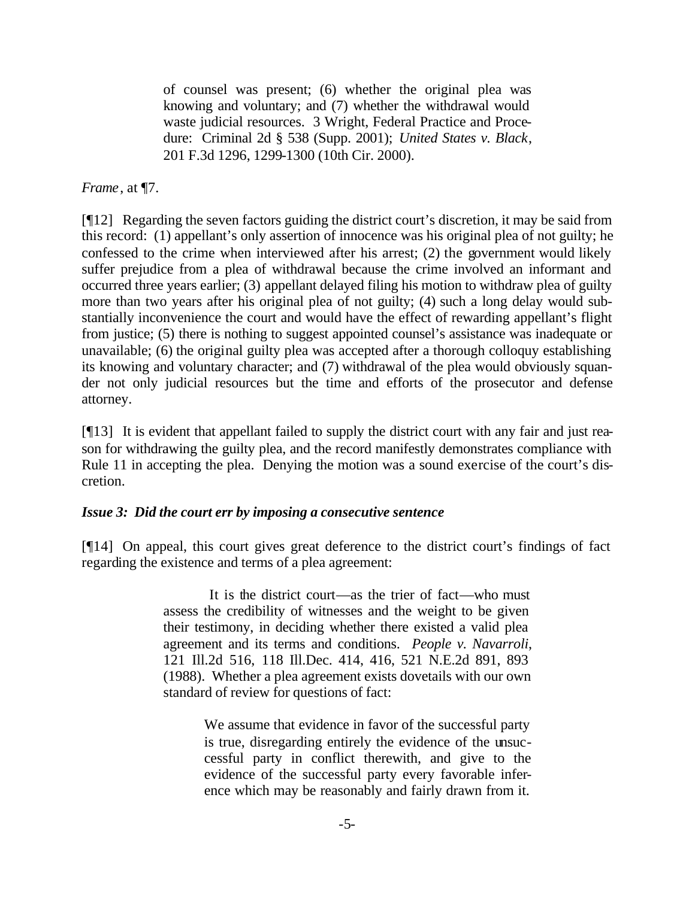of counsel was present; (6) whether the original plea was knowing and voluntary; and (7) whether the withdrawal would waste judicial resources. 3 Wright, Federal Practice and Procedure: Criminal 2d § 538 (Supp. 2001); *United States v. Black*, 201 F.3d 1296, 1299-1300 (10th Cir. 2000).

# *Frame*, at ¶7.

[¶12] Regarding the seven factors guiding the district court's discretion, it may be said from this record: (1) appellant's only assertion of innocence was his original plea of not guilty; he confessed to the crime when interviewed after his arrest; (2) the government would likely suffer prejudice from a plea of withdrawal because the crime involved an informant and occurred three years earlier; (3) appellant delayed filing his motion to withdraw plea of guilty more than two years after his original plea of not guilty; (4) such a long delay would substantially inconvenience the court and would have the effect of rewarding appellant's flight from justice; (5) there is nothing to suggest appointed counsel's assistance was inadequate or unavailable; (6) the original guilty plea was accepted after a thorough colloquy establishing its knowing and voluntary character; and (7) withdrawal of the plea would obviously squander not only judicial resources but the time and efforts of the prosecutor and defense attorney.

[¶13] It is evident that appellant failed to supply the district court with any fair and just reason for withdrawing the guilty plea, and the record manifestly demonstrates compliance with Rule 11 in accepting the plea. Denying the motion was a sound exercise of the court's discretion.

## *Issue 3: Did the court err by imposing a consecutive sentence*

[¶14] On appeal, this court gives great deference to the district court's findings of fact regarding the existence and terms of a plea agreement:

> It is the district court—as the trier of fact—who must assess the credibility of witnesses and the weight to be given their testimony, in deciding whether there existed a valid plea agreement and its terms and conditions. *People v. Navarroli*, 121 Ill.2d 516, 118 Ill.Dec. 414, 416, 521 N.E.2d 891, 893 (1988). Whether a plea agreement exists dovetails with our own standard of review for questions of fact:

> > We assume that evidence in favor of the successful party is true, disregarding entirely the evidence of the unsuccessful party in conflict therewith, and give to the evidence of the successful party every favorable inference which may be reasonably and fairly drawn from it.